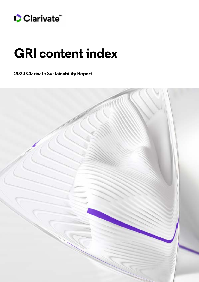

## **GRI content index**

**2020 Clarivate Sustainability Report**

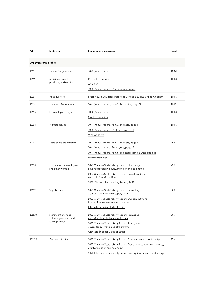| <b>GRI</b> | Indicator                                                          | Location of disclosures                                                                                                                                                                                                                                  | Level   |  |
|------------|--------------------------------------------------------------------|----------------------------------------------------------------------------------------------------------------------------------------------------------------------------------------------------------------------------------------------------------|---------|--|
|            | <b>Organisational profile</b>                                      |                                                                                                                                                                                                                                                          |         |  |
| $102-1$    | Name of organisation                                               | 10-K (Annual report)                                                                                                                                                                                                                                     | 100%    |  |
| 102-2      | Activities, brands,<br>products, and services                      | Products & Services<br>About us<br>10-K (Annual report), Our Products, page 5                                                                                                                                                                            | 100%    |  |
| $102 - 3$  | Headquarters                                                       | Friars House, 160 Blackfriars Road London SE1 8EZ United Kingdom                                                                                                                                                                                         | 100%    |  |
| 102-4      | Location of operations                                             | 10-K (Annual report), Item 2. Properties, page 29                                                                                                                                                                                                        | $100\%$ |  |
| 102-5      | Ownership and legal form                                           | 10-K (Annual report)<br>Stock Information                                                                                                                                                                                                                | 100%    |  |
| $102-6$    | Markets served                                                     | 10-K (Annual report), Item 1. Business, page 4<br>10-K (Annual report), Customers, page 14<br>Who we serve                                                                                                                                               | 100%    |  |
| $102 - 7$  | Scale of the organization                                          | 10-K (Annual report), Item 1. Business, page 4<br>10-K (Annual report), Employees, page 17<br>10-K (Annual report), Item 6. Selected Financial Data, page 43<br>Income statement                                                                         | 75%     |  |
| $102-8$    | Information on employees<br>and other workers                      | 2020 Clarivate Sustainability Report, Our pledge to<br>advance diversity, equity, inclusion and belonging<br>2020 Clarivate Sustainability Report, Propelling diversity<br>and inclusion with action<br>2020 Clarivate Sustainability Report, SASB       | 75%     |  |
| 102-9      | Supply chain                                                       | 2020 Clarivate Sustainability Report, Promoting<br>a sustainable and ethical supply chain<br>2020 Clarivate Sustainability Report, Our commitment<br>to sourcing sustainable merchandise<br>Clarivate Supplier Code of Ethics                            | 50%     |  |
| 102-10     | Significant changes<br>to the organization and<br>its supply chain | 2020 Clarivate Sustainability Report, Promoting<br>a sustainable and ethical supply chain<br>2020 Clarivate Sustainability Report, Setting the<br>course for our workplace of the future<br>Clarivate Supplier Code of Ethics                            | 25%     |  |
| 102-12     | External initiatives                                               | 2020 Clarivate Sustainability Report, Commitment to sustainability<br>2020 Clarivate Sustainability Report, Our pledge to advance diversity,<br>equity, inclusion and belonging<br>2020 Clarivate Sustainability Report, Recognition, awards and ratings | 75%     |  |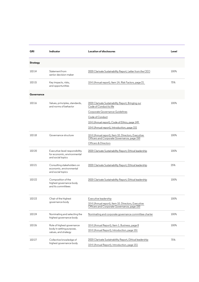| GRI             | Indicator                                                                          | Location of disclosures                                                                                                                                                                                                               | Level   |
|-----------------|------------------------------------------------------------------------------------|---------------------------------------------------------------------------------------------------------------------------------------------------------------------------------------------------------------------------------------|---------|
| <b>Strategy</b> |                                                                                    |                                                                                                                                                                                                                                       |         |
| 102-14          | Statement from<br>senior decision-maker                                            | 2020 Clarivate Sustainability Report, Letter from the CEO                                                                                                                                                                             | 100%    |
| 102-15          | Key impacts, risks,<br>and opportunities                                           | 10-K (Annual report), Item 1A. Risk Factors, page 21                                                                                                                                                                                  | 75%     |
| Governance      |                                                                                    |                                                                                                                                                                                                                                       |         |
| 102-16          | Values, principles, standards,<br>and norms of behavior                            | 2020 Clarivate Sustainability Report, Bringing our<br>Code of Conduct to life<br>Corporate Governance Guidelines<br>Code of Conduct<br>10-K (Annual report), Code of Ethics, page 149<br>10-K (Annual report), Introduction, page 151 | $100\%$ |
| 102-18          | Governance structure                                                               | 10-K (Annual report), Item 10. Directors, Executive<br>Officers and Corporate Governance, page 150<br>Officers & Directors                                                                                                            | $100\%$ |
| 102-20          | Executive-level responsibility<br>for economic, environmental<br>and social topics | 2020 Clarivate Sustainability Report, Ethical leadership                                                                                                                                                                              | $100\%$ |
| 102-21          | Consulting stakeholders on<br>economic, environmental<br>and social topics         | 2020 Clarivate Sustainability Report, Ethical leadership                                                                                                                                                                              | 25%     |
| 102-22          | Composition of the<br>highest governance body<br>and its committees                | 2020 Clarivate Sustainability Report, Ethical leadership                                                                                                                                                                              | 100%    |
| 102-23          | Chair of the highest<br>governance body                                            | Executive leadership<br>10-K (Annual report), Item 10. Directors, Executive<br>Officers and Corporate Governance, page 150                                                                                                            | 100%    |
| 102-24          | Nominating and selecting the<br>highest governance body                            | Nominating and corporate governance committee charter                                                                                                                                                                                 | 100%    |
| 102-26          | Role of highest governance<br>body in setting purpose,<br>values, and strategy     | 10-K (Annual Report), Item 1. Business, page 8<br>10-K (Annual Report), Introduction, page 151                                                                                                                                        | 100%    |
| 102-27          | Collective knowledge of<br>highest governance body                                 | 2020 Clarivate Sustainability Report, Ethical leadership<br>10-K (Annual Report), Introduction, page 151                                                                                                                              | 75%     |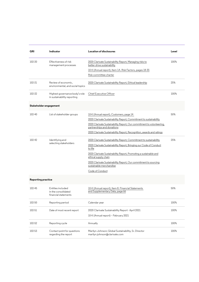| GRI                       | Indicator                                                        | Location of disclosures                                                                             | Level |
|---------------------------|------------------------------------------------------------------|-----------------------------------------------------------------------------------------------------|-------|
| 102-30                    | Effectiveness of risk<br>management processes                    | 2020 Clarivate Sustainability Report, Managing risks to<br>better drive sustainability              | 100%  |
|                           |                                                                  | 10-K (Annual report), Item 1A. Risk Factors, pages 18-35                                            |       |
|                           |                                                                  | Risk committee charter                                                                              |       |
| 102-31                    | Review of economic.<br>environmental, and social topics          | 2020 Clarivate Sustainability Report, Ethical leadership                                            | 25%   |
| 102-32                    | Highest governance body's role<br>in sustainability reporting    | Chief Executive Officer                                                                             | 100%  |
| Stakeholder engagement    |                                                                  |                                                                                                     |       |
| 102-40                    | List of stakeholder groups                                       | 10-K (Annual report), Customers, page 14                                                            | 50%   |
|                           |                                                                  | 2020 Clarivate Sustainability Report, Commitment to sustainability                                  |       |
|                           |                                                                  | 2020 Clarivate Sustainability Report, Our commitment to volunteering,<br>partnerships and donations |       |
|                           |                                                                  | 2020 Clarivate Sustainability Report, Recognition, awards and ratings                               |       |
| 102-42                    | Identifying and                                                  | 2020 Clarivate Sustainability Report, Commitment to sustainability                                  | 25%   |
|                           | selecting stakeholders                                           | 2020 Clarivate Sustainability Report, Bringing our Code of Conduct<br>to life                       |       |
|                           |                                                                  | 2020 Clarivate Sustainability Report, Promoting a sustainable and<br>ethical supply chain           |       |
|                           |                                                                  | 2020 Clarivate Sustainability Report, Our commitment to sourcing<br>sustainable merchandise         |       |
|                           |                                                                  | Code of Conduct                                                                                     |       |
| <b>Reporting practice</b> |                                                                  |                                                                                                     |       |
| 102-45                    | Entities included<br>in the consolidated<br>financial statements | 10-K (Annual report), Item 8. Financial Statements<br>and Supplementary Data, page 66               | 50%   |
| 102-50                    | Reporting period                                                 | Calendar year                                                                                       | 100%  |
| 102-51                    | Date of most recent report                                       | 2020 Clarivate Sustainability Report - April 2021                                                   | 100%  |
|                           |                                                                  | 10-K (Annual report) - February 2021                                                                |       |
| 102-52                    | Reporting cycle                                                  | Annually                                                                                            | 100%  |
| 102-53                    | Contact point for questions<br>regarding the report              | Marilyn Johnson; Global Sustainability, Sr. Director<br>marilyn.johnson@clarivate.com               | 100%  |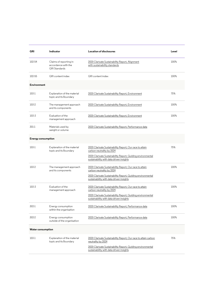| GRI                       | Indicator                                                             | <b>Location of disclosures</b>                                                                                                                                                                   | Level   |
|---------------------------|-----------------------------------------------------------------------|--------------------------------------------------------------------------------------------------------------------------------------------------------------------------------------------------|---------|
| 102-54                    | Claims of reporting in<br>accordance with the<br><b>GRI Standards</b> | 2020 Clarivate Sustainability Report, Alignment<br>with sustainability standards                                                                                                                 | $100\%$ |
| 102-55                    | GRI content index                                                     | <b>GRI</b> content index                                                                                                                                                                         | 100%    |
| <b>Environment</b>        |                                                                       |                                                                                                                                                                                                  |         |
| $103-1$                   | Explanation of the material<br>topic and its Boundary                 | 2020 Clarivate Sustainability Report, Environment                                                                                                                                                | 75%     |
| 103-2                     | The management approach<br>and its components                         | 2020 Clarivate Sustainability Report, Environment                                                                                                                                                | 100%    |
| 103-3                     | Evaluation of the<br>management approach                              | 2020 Clarivate Sustainability Report, Environment                                                                                                                                                | 100%    |
| 301-1                     | Materials used by<br>weight or volume                                 | 2020 Clarivate Sustainability Report, Performance data                                                                                                                                           |         |
| <b>Energy consumption</b> |                                                                       |                                                                                                                                                                                                  |         |
| $103-1$                   | Explanation of the material<br>topic and its Boundary                 | 2020 Clarivate Sustainability Report, Our race to attain<br>carbon neutrality by 2024<br>2020 Clarivate Sustainability Report, Guiding environmental<br>sustainability with data driven insights | 75%     |
| 103-2                     | The management approach<br>and its components                         | 2020 Clarivate Sustainability Report, Our race to attain<br>carbon neutrality by 2024<br>2020 Clarivate Sustainability Report, Guiding environmental<br>sustainability with data driven insights | 100%    |
| 103-3                     | Evaluation of the<br>management approach                              | 2020 Clarivate Sustainability Report, Our race to attain<br>carbon neutrality by 2024<br>2020 Clarivate Sustainability Report, Guiding environmental<br>sustainability with data driven insights | 100%    |
| 302-1                     | Energy consumption<br>within the organisation                         | 2020 Clarivate Sustainability Report, Performance data                                                                                                                                           | 100%    |
| 302-2                     | Energy consumption<br>outside of the organisation                     | 2020 Clarivate Sustainability Report, Performance data                                                                                                                                           | 100%    |
| <b>Water consumption</b>  |                                                                       |                                                                                                                                                                                                  |         |
| 103-1                     | Explanation of the material<br>topic and its Boundary                 | 2020 Clarivate Sustainability Report, Our race to attain carbon<br>neutrality by 2024<br>2020 Clarivate Sustainability Report, Guiding environmental<br>sustainability with data driven insights | 75%     |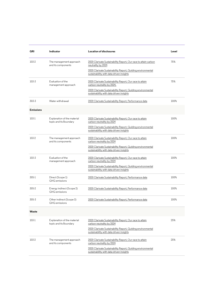| GRI              | Indicator                                             | <b>Location of disclosures</b>                                                                                                                                                                    | Level   |
|------------------|-------------------------------------------------------|---------------------------------------------------------------------------------------------------------------------------------------------------------------------------------------------------|---------|
| 103-2            | The management approach<br>and its components         | 2020 Clarivate Sustainability Report, Our race to attain carbon<br>neutrality by 2024<br>2020 Clarivate Sustainability Report, Guiding environmental<br>sustainability with data driven insights  | 75%     |
| 103-3            | Evaluation of the<br>management approach              | 2020 Clarivate Sustainability Report, Our race to attain<br>carbon neutrality by 2024,<br>2020 Clarivate Sustainability Report, Guiding environmental<br>sustainability with data driven insights | 75%     |
| 303-3            | Water withdrawal                                      | 2020 Clarivate Sustainability Report, Performance data                                                                                                                                            | $100\%$ |
| <b>Emissions</b> |                                                       |                                                                                                                                                                                                   |         |
| 103-1            | Explanation of the material<br>topic and its Boundary | 2020 Clarivate Sustainability Report, Our race to attain<br>carbon neutrality by 2024<br>2020 Clarivate Sustainability Report, Guiding environmental<br>sustainability with data driven insights  | $100\%$ |
| 103-2            | The management approach<br>and its components         | 2020 Clarivate Sustainability Report, Our race to attain<br>carbon neutrality by 2024<br>2020 Clarivate Sustainability Report, Guiding environmental<br>sustainability with data driven insights  | $100\%$ |
| 103-3            | Evaluation of the<br>management approach              | 2020 Clarivate Sustainability Report, Our race to attain<br>carbon neutrality by 2024<br>2020 Clarivate Sustainability Report, Guiding environmental<br>sustainability with data driven insights  | 100%    |
| $305-1$          | Direct (Scope 1)<br><b>GHG</b> emissions              | 2020 Clarivate Sustainability Report, Performance data                                                                                                                                            | 100%    |
| 305-2            | Energy indirect (Scope 2)<br><b>GHG</b> emissions     | 2020 Clarivate Sustainability Report, Performance data                                                                                                                                            | 100%    |
| 305-3            | Other indirect (Scope 3)<br><b>GHG</b> emissions      | 2020 Clarivate Sustainability Report, Performance data                                                                                                                                            | 100%    |
| Waste            |                                                       |                                                                                                                                                                                                   |         |
| 103-1            | Explanation of the material<br>topic and its Boundary | 2020 Clarivate Sustainability Report, Our race to attain<br>carbon neutrality by 2024<br>2020 Clarivate Sustainability Report, Guiding environmental<br>sustainability with data driven insights  | 25%     |
| 103-2            | The management approach<br>and its components         | 2020 Clarivate Sustainability Report, Our race to attain<br>carbon neutrality by 2024<br>2020 Clarivate Sustainability Report, Guiding environmental<br>sustainability with data driven insights  | 25%     |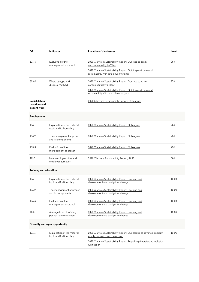| GRI                                            | Indicator                                             | <b>Location of disclosures</b>                                                                            | Level |  |
|------------------------------------------------|-------------------------------------------------------|-----------------------------------------------------------------------------------------------------------|-------|--|
| 103-3                                          | Evaluation of the<br>management approach              | 2020 Clarivate Sustainability Report, Our race to attain<br>carbon neutrality by 2024                     | 25%   |  |
|                                                |                                                       | 2020 Clarivate Sustainability Report, Guiding environmental<br>sustainability with data driven insights   |       |  |
| 306-2                                          | Waste by type and<br>disposal method                  | 2020 Clarivate Sustainability Report, Our race to attain<br>carbon neutrality by 2024                     | 75%   |  |
|                                                |                                                       | 2020 Clarivate Sustainability Report, Guiding environmental<br>sustainability with data driven insights   |       |  |
| Social: labour<br>practices and<br>decent work |                                                       | 2020 Clarivate Sustainability Report, Colleagues                                                          |       |  |
| Employment                                     |                                                       |                                                                                                           |       |  |
| 103-1                                          | Explanation of the material<br>topic and its Boundary | 2020 Clarivate Sustainability Report, Colleagues                                                          | 25%   |  |
| 103-2                                          | The management approach<br>and its components         | 2020 Clarivate Sustainability Report, Colleagues                                                          | 25%   |  |
| 103-3                                          | Evaluation of the<br>management approach              | 2020 Clarivate Sustainability Report, Colleagues                                                          | 25%   |  |
| 401-1                                          | New employee hires and<br>employee turnover           | 2020 Clarivate Sustainability Report, SASB                                                                | 50%   |  |
| <b>Training and education</b>                  |                                                       |                                                                                                           |       |  |
| 103-1                                          | Explanation of the material<br>topic and its Boundary | 2020 Clarivate Sustainability Report, Learning and<br>development as a catalyst for change                | 100%  |  |
| 103-2                                          | The management approach<br>and its components         | 2020 Clarivate Sustainability Report, Learning and<br>development as a catalyst for change                | 100%  |  |
| 103-3                                          | Evaluation of the<br>management approach              | 2020 Clarivate Sustainability Report, Learning and<br>development as a catalyst for change                | 100%  |  |
| 404-1                                          | Average hour of training<br>per year per employee     | 2020 Clarivate Sustainability Report, Learning and<br>development as a catalyst for change                | 100%  |  |
|                                                | Diversity and equal opportunity                       |                                                                                                           |       |  |
| 103-1                                          | Explanation of the material<br>topic and its Boundary | 2020 Clarivate Sustainability Report, Our pledge to advance diversity,<br>equity, inclusion and belonging | 100%  |  |
|                                                |                                                       | 2020 Clarivate Sustainability Report, Propelling diversity and inclusion<br>with action                   |       |  |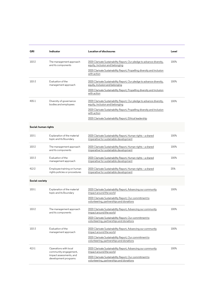| GRI                  | Indicator                                                   | <b>Location of disclosures</b>                                                                                                                                                        | Level   |
|----------------------|-------------------------------------------------------------|---------------------------------------------------------------------------------------------------------------------------------------------------------------------------------------|---------|
| 103-2                | The management approach<br>and its components               | 2020 Clarivate Sustainability Report, Our pledge to advance diversity,<br>equity, inclusion and belonging<br>2020 Clarivate Sustainability Report, Propelling diversity and inclusion | 100%    |
|                      |                                                             | with action                                                                                                                                                                           |         |
| 103-3                | Evaluation of the<br>management approach                    | 2020 Clarivate Sustainability Report, Our pledge to advance diversity,<br>equity, inclusion and belonging                                                                             | 100%    |
|                      |                                                             | 2020 Clarivate Sustainability Report, Propelling diversity and inclusion<br>with action                                                                                               |         |
| 405-1                | Diversity of governance<br>bodies and employees             | 2020 Clarivate Sustainability Report, Our pledge to advance diversity,<br>equity, inclusion and belonging                                                                             | 100%    |
|                      |                                                             | 2020 Clarivate Sustainability Report, Propelling diversity and inclusion<br>with action                                                                                               |         |
|                      |                                                             | 2020 Clarivate Sustainability Report, Ethical leadership                                                                                                                              |         |
| Social: human rights |                                                             |                                                                                                                                                                                       |         |
| 103-1                | Explanation of the material<br>topic and its Boundary       | 2020 Clarivate Sustainability Report, Human rights - a shared<br>imperative for sustainable development                                                                               | $100\%$ |
| 103-2                | The management approach<br>and its components               | 2020 Clarivate Sustainability Report, Human rights - a shared<br>imperative for sustainable development                                                                               | $100\%$ |
| 103-3                | Evaluation of the<br>management approach                    | 2020 Clarivate Sustainability Report, Human rights - a shared<br>imperative for sustainable development                                                                               | $100\%$ |
| 412-2                | Employee training on human<br>rights policies or procedures | 2020 Clarivate Sustainability Report, Human rights - a shared<br>imperative for sustainable development                                                                               | 25%     |
| Social: society      |                                                             |                                                                                                                                                                                       |         |
| $103-1$              | Explanation of the material<br>topic and its Boundary       | 2020 Clarivate Sustainability Report, Advancing our community<br>impact around the world                                                                                              | 100%    |
|                      |                                                             | 2020 Clarivate Sustainability Report, Our commitment to<br>volunteering, partnerships and donations                                                                                   |         |
| 103-2                | The management approach<br>and its components               | 2020 Clarivate Sustainability Report, Advancing our community<br>impact around the world                                                                                              | 100%    |
|                      |                                                             | 2020 Clarivate Sustainability Report, Our commitment to<br>volunteering, partnerships and donations                                                                                   |         |
| 103-3                | Evaluation of the<br>management approach                    | 2020 Clarivate Sustainability Report, Advancing our community<br>impact around the world                                                                                              | 100%    |
|                      |                                                             | 2020 Clarivate Sustainability Report, Our commitment to<br>volunteering, partnerships and donations                                                                                   |         |
| 413-1                | Operations with local<br>community engagement,              | 2020 Clarivate Sustainability Report, Advancing our community<br>impact around the world                                                                                              | 100%    |
|                      | impact assessments, and<br>development programs             | 2020 Clarivate Sustainability Report, Our commitment to<br>volunteering, partnerships and donations                                                                                   |         |